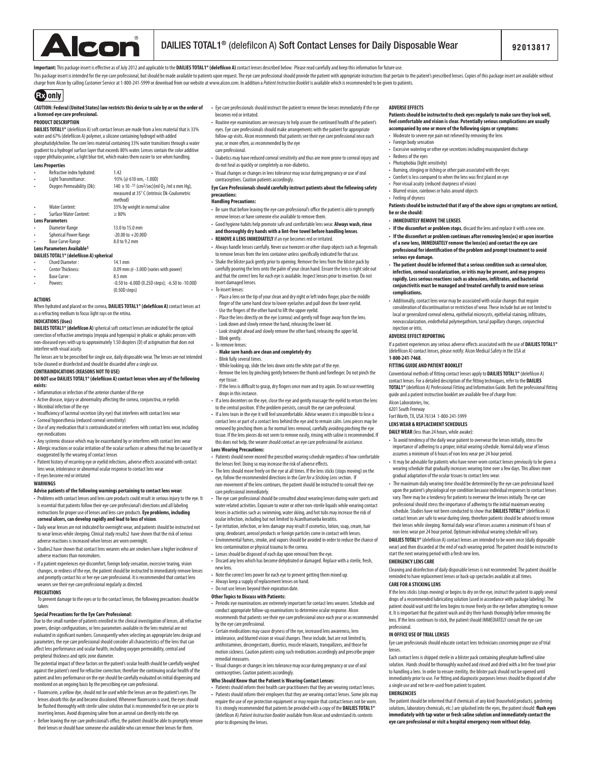

Important: This package insert is effective as of July 2012 and applicable to the DAILIES TOTAL1® (delefilcon A) contact lenses described below. Please read carefully and keep this information for future use.

This package insert is intended for the eye care professional, but should be made available to patients upon request. The eye care professional should provide the patient with appropriate instructions that pertain to the p charge from Alcon by calling Customer Service at 1-800-241-5999 or download from our website at www.alcon.com. In addition a *Patient Instruction Booklet* is available which is recommended to be given to patients.

# **GEO** only

# **CAUTION: Federal (United States) law restricts this device to sale by or on the order of a licensed eye care professional.**

# **PRODUCT DESCRIPTION**

**DAILIES TOTAL1<sup>®</sup>** (delefilcon A) soft contact lenses are made from a lens material that is 33% water and 67% (delefilcon A) polymer, a silicone containing hydrogel with added phosphatidylcholine. The core lens material containing 33% water transitions through a water gradient to a hydrogel surface layer that exceeds 80% water. Lenses contain the color additive copper phthalocyanine, a light blue tint, which makes them easier to see when handling.

## **Lens Properties**

|           | Refractive index hydrated:    | 1.42                                                                                                              |
|-----------|-------------------------------|-------------------------------------------------------------------------------------------------------------------|
| $\bullet$ | Light Transmittance:          | 93% (@ 610 nm. -1.00D)                                                                                            |
|           | Oxygen Permeability (Dk):     | 140 x 10 -11 (cm2/sec) (ml 0 <sub>2</sub> /ml x mm Hq),<br>measured at 35° C (intrinsic Dk-Coulometric<br>method) |
|           | Water Content:                | 33% by weight in normal saline                                                                                    |
|           | <b>Surface Water Content:</b> | $\geq 80\%$                                                                                                       |
|           | <b>Lens Parameters</b>        |                                                                                                                   |
|           | Diameter Range                | 13.0 to 15.0 mm                                                                                                   |
|           | <b>Spherical Power Range</b>  | $-20.00$ to $+20.00$                                                                                              |
|           | <b>Base Curve Range</b>       | 8.0 to 9.2 mm                                                                                                     |
|           | Long Dovomators Austiable1    |                                                                                                                   |

# Lens Parameters Available<sup>1</sup><br>DAILIES TOTAL1® (delefilcon A) spherical

- 
- Chord Diameter : 14.1 mm 0.09 mm  $@$  -3.00D (varies with power)<br>8.5 mm **Base Curve:**<br>Powers:
	- Powers: -0.50 to -6.00D (0.25D steps); -6.50 to -10.00D (0.50D steps)

### **ACTIONS**

When hydrated and placed on the cornea, **DAILIES TOTAL1<sup>®</sup> (delefilcon A)** contact lenses act as a refracting medium to focus light rays on the retina.

### **INDICATIONS (Uses)**

**DAILIES TOTAL1<sup>®</sup> (delefilcon A)** spherical soft contact lenses are indicated for the optical correction of refractive ametropia (myopia and hyperopia) in phakic or aphakic persons with non-diseased eyes with up to approximately 1.50 diopters (D) of astigmatism that does not interfere with visual acuity.

The lenses are to be prescribed for single use, daily disposable wear. The lenses are not intended to be cleaned or disinfected and should be discarded after a single use.

### **CONTRAINDICATIONS (REASONS NOT TO USE)**

- **DO NOT** use DAILIES TOTAL1® (delefilcon A) contact lenses when any of the following **exists:** • Inflammation or infection of the anterior chamber of the eye
- Active disease, injury or abnormality affecting the cornea, conjunctiva, or eyelids
- Microbial infection of the eye
- Insufficiency of lacrimal secretion (dry eye) that interferes with contact lens wear
- Corneal hypoesthesia (reduced corneal sensitivity)
- Use of any medication that is contraindicated or interferes with contact lens wear, including eye medications
- Any systemic disease which may be exacerbated by or interferes with contact lens wear • Allergic reactions or ocular irritation of the ocular surfaces or adnexa that may be caused by or exaggerated by the wearing of contact lenses
- Patient history of recurring eye or eyelid infections, adverse effects associated with contact lens wear, intolerance or abnormal ocular response to contact lens wear • If eyes become red or irritated

# **WARNINGS**

- **Advise patients of the following warnings pertaining to contact lens wear:**
- Problems with contact lenses and lens care products could result in serious injury to the eye. It is essential that patients follow their eye care professional's directions and all labeling instructions for proper use of lenses and lens care products. **Eye problems, including**  corneal ulcers, can develop rapidly and lead to loss of visio
- Daily wear lenses are not indicated for overnight wear, and patients should be instructed not to wear lenses while sleeping. Clinical study results2 have shown that the risk of serious adverse reactions is increased when lenses are worn overnight.
- Studies2 have shown that contact lens wearers who are smokers have a higher incidence of adverse reactions than nonsmokers.
- If a patient experiences eye discomfort, foreign body sensation, excessive tearing, vision changes, or redness of the eye, the patient should be instructed to immediately remove lenses and promptly contact his or her eye care professional. It is recommended that contact lens wearers see their eye care professional regularly as directed.

### **PRECAUTIONS**

To prevent damage to the eyes or to the contact lenses, the following precautions should be taken:

### **Special Precautions for the Eye Care Professional:**

Due to the small number of patients enrolled in the clinical investigation of lenses, all refractive powers, design congurations, or lens parameters available in the lens material are not evaluated in significant numbers. Consequently when selecting an appropriate lens design and parameters, the eye care professional should consider all characteristics of the lens that can affect lens performance and ocular health, including oxygen permeability, central and peripheral thickness and optic zone diameter.

The potential impact of these factors on the patient's ocular health should be carefully weighed against the patient's need for refractive correction; therefore the continuing ocular health of the patient and lens performance on the eye should be carefully evaluated on initial dispensing and monitored on an ongoing basis by the prescribing eye care professional.

- Fluorescein, a yellow dye, should not be used while the lenses are on the patient's eyes. The lenses absorb this dye and become discolored. Whenever fluorescein is used, the eyes should be flushed thoroughly with sterile saline solution that is recommended for in eye use prior to inserting lenses. Avoid dispensing saline from an aerosol can directly into the eye.
- Before leaving the eye care professional's office, the patient should be able to promptly remove their lenses or should have someone else available who can remove their lenses for them.
- Eye care professionals should instruct the patient to remove the lenses immediately if the eye becomes red or irritated.
- Routine eye examinations are necessary to help assure the continued health of the patient's eyes. Eye care professionals should make arrangements with the patient for appropriate follow-up visits. Alcon recommends that patients see their eye care professional once each year, or more often, as recommended by the eye

# care professional.

- Diabetics may have reduced corneal sensitivity and thus are more prone to corneal injury and do not heal as quickly or completely as non-diabetics.
- Visual changes or changes in lens tolerance may occur during pregnancy or use of oral contraceptives. Caution patients accordingly.

### **Eye Care Professionals should carefully instruct patients about the following safety precautions: Handling Precautions:**

- Be sure that before leaving the eye care professional's office the patient is able to promptly remove lenses or have someone else available to remove them.
- Good hygiene habits help promote safe and comfortable lens wear. **Always wash, rinse and thoroughly dry hands with a lint-free towel before handling lenses**.
- **REMOVE A LENS IMMEDIATELY** if an eye becomes red or irritated.
- Always handle lenses carefully. Never use tweezers or other sharp objects such as fingernails to remove lenses from the lens container unless specifically indicated for that use.
- Shake the blister pack gently prior to opening. Remove the lens from the blister pack by carefully pouring the lens onto the palm of your clean hand. Ensure the lens is right side out and that the correct lens for each eye is available. Inspect lenses prior to insertion. Do not insert damaged lenses.
- To insert lenses:
- Place a lens on the tip of your clean and dry right or left index finger, place the middle finger of the same hand close to lower eyelashes and pull down the lo
- Use the fingers of the other hand to lift the upper eyelid. - Place the lens directly on the eye (cornea) and gently roll finger away from the lens.
- Look down and slowly remove the hand, releasing the lower lid.
- Look straight ahead and slowly remove the other hand, releasing the upper lid.
- Blink gently.
- To remove lenses:
- **Make sure hands are clean and completely dry**. - Blink fully several times
- While looking up, slide the lens down onto the white part of the eye.
- Remove the lens by pinching gently between the thumb and forefinger. Do not pinch the
- eye tissue - If the lens is difficult to grasp, dry fingers once more and try again. Do not use rewetting drops in this instance.
- If a lens decenters on the eye, close the eye and gently massage the eyelid to return the lens to the central position. If the problem persists, consult the eye care professional.
- If a lens tears in the eye it will feel uncomfortable. Advise wearers it is impossible to lose a contact lens or part of a contact lens behind the eye and to remain calm. Lens pieces may be removed by pinching them as for normal lens removal, carefully avoiding pinching the eye tissue. If the lens pieces do not seem to remove easily, rinsing with saline is recommended. If this does not help, the wearer should contact an eye care professional for assistance.

### **Lens Wearing Precautions:**

- Patients should never exceed the prescribed wearing schedule regardless of how comfortable the lenses feel. Doing so may increase the risk of adverse effects.
- The lens should move freely on the eye at all times. If the lens sticks (stops moving) on the eye, follow the recommended directions in the *Care for a Sticking Lens* section. If non-movement of the lens continues, the patient should be instructed to consult their eye care professional immediately.
- The eye care professional should be consulted about wearing lenses during water sports and water related activities. Exposure to water or other non-sterile liquids while wearing contact lenses in activities such as swimming, water skiing, and hot tubs may increase the risk of ocular infection, including but not limited to Acanthamoeba keratitis.
- Eye irritation, infection, or lens damage may result if cosmetics, lotion, soap, cream, hair spray, deodorant, aerosol products or foreign particles come in contact with lenses.
- Environmental fumes, smoke, and vapors should be avoided in order to reduce the chance of
- lens contamination or physical trauma to the cornea.
- Lenses should be disposed of each day upon removal from the eye. • Discard any lens which has become dehydrated or damaged. Replace with a sterile, fresh,
- new lens. • Note the correct lens power for each eye to prevent getting them mixed up
- 
- Always keep a supply of replacement lenses on hand. • Do not use lenses beyond their expiration date.

### **Other Topics to Discuss with Patients:**

- Periodic eye examinations are extremely important for contact lens wearers. Schedule and conduct appropriate follow-up examinations to determine ocular response. Alcon recommends that patients see their eye care professional once each year or as recon by the eye care professional.
- Certain medications may cause dryness of the eye, increased lens awareness, lens intolerance, and blurred vision or visual changes. These include, but are not limited to, antihistamines, decongestants, diuretics, muscle relaxants, tranquilizers, and those for motion sickness. Caution patients using such medications accordingly and prescribe proper remedial measures.
- Visual changes or changes in lens tolerance may occur during pregnancy or use of oral contraceptives. Caution patients accordingly.

# **Who Should Know that the Patient is Wearing Contact Lenses:**

• Patients should inform their health care practitioners that they are wearing contact lenses. • Patients should inform their employers that they are wearing contact lenses. Some jobs may require the use of eye protection equipment or may require that contact lenses not be w It is strongly recommended that patients be provided with a copy of the **DAILIES TOTAL1®**  (delefilcon A) *Patient Instruction Booklet* available from Alcon and understand its contents prior to dispensing the lenses.

### **ADVERSE EFFECTS**

# **Patients should be instructed to check eyes regularly to make sure they look well,**  feel comfortable and vision is clear. Potentially serious complications **accompanied by one or more of the following signs or symptoms:**

### • Moderate to severe eye pain not relieved by removing the lens • Foreign body sensation

- Excessive watering or other eye secretions including mucopurulent discharge
- Redness of the eyes
- Photophobia (light sensitivity)
- Burning, stinging or itching or other pain associated with the eyes
- Comfort is less compared to when the lens was first placed on eye
- Poor visual acuity (reduced sharpness of vision)
- Blurred vision, rainbows or halos around objects
- Feeling of dryness

**1-800-241-7468**.

Alcon Laboratories, Inc. 6201 South Freeway

**FITTING GUIDE AND PATIENT BOOKLET**

Fort Worth, TX, USA 76134 1-800-241-5999 **LENS WEAR & REPLACEMENT SCHEDULES DAILY WEAR** (less than 24 hours, while awake):

# **Patients should be instructed that if any of the above signs or symptoms are noticed, he or she should:**

- **IMMEDIATELY REMOVE THE LENSES**.
- **If the discomfort or problem stops**, discard the lens and replace it with a new one. • **If the discomfort or problem continues after removing lens(es) or upon insertion of a new lens, IMMEDIATELY remove the lens(es) and contact the eye care professional for identication of the problem and prompt treatment to avoid serious eye damage.**
- **The patient should be informed that a serious condition such as corneal ulcer, infection, corneal vascularization, or iritis may be present, and may progress**  rapidly. Less serious reactions such as abrasions, infiltrates, and bacterial **conjunctivitis must be managed and treated carefully to avoid more serious complications.**

### • Additionally, contact lens wear may be associated with ocular changes that require consideration of discontinuation or restriction of wear. These include but are not limited to local or generalized corneal edema, epithelial microcysts, epithelial staining, infiltrates, neovascularization, endothelial polymegathism, tarsal papillary changes, conjunctival injection or iritis. **ADVERSE EFFECT REPORTING**

If a patient experiences any serious adverse eects associated with the use of **DAILIES TOTAL1®** (delefilcon A) contact lenses, please notify: Alcon Medical Safety in the USA at

Conventional methods of fitting contact lenses apply to **DAILIES TOTAL1<sup>®</sup>** (delefilcon A) contact lenses. For a detailed description of the fitting techniques, refer to the **DAILIES TOTAL1®** (delefilcon A) Professional Fitting and Information Guide. Both the professional fitting

• To avoid tendency of the daily wear patient to overwear the lenses initially, stress the importance of adhering to a proper, initial wearing schedule. Normal daily wear of lenses assumes a minimum of 6 hours of non lens wear per 24 hour period.

• It may be advisable for patients who have never worn contact lenses previously to be given a wearing schedule that gradually increases wearing time over a few days. This allows more

• The maximum daily wearing time should be determined by the eye care professional based upon the patient's physiological eye condition because individual responses to contact lenses vary. There may be a tendency for patients to overwear the lenses initially. The eye care professional should stress the importance of adhering to the initial maximum wearing .<br>schedule. Studies have not been conducted to show that **DAILIES TOTAL1®** (delefilcon A) contact lenses are safe to wear during sleep, therefore patients should be advised to remove their lenses while sleeping. Normal daily wear of lenses assumes a minimum of 6 hours of non-lens wear per 24 hour period. Optimum individual wearing schedule will vary. **DAILIES TOTAL1<sup>®</sup>** (delefilcon A) contact lenses are intended to be worn once (daily disposable wear) and then discarded at the end of each wearing period. The patient should be instructed to

Cleaning and disinfection of daily disposable lenses is not recommended. The patient should be reminded to have replacement lenses or back-up spectacles available at all times.

If the lens sticks (stops moving) or begins to dry on the eye, instruct the patient to apply several drops of a recommended lubricating solution (used in accordance with package labeling). The patient should wait until the lens begins to move freely on the eye before attempting to remove it. It is important that the patient wash and dry their hands thoroughly before removing the lens. If the lens continues to stick, the patient should IMMEDIATELY consult the eye care

Eye care professionals should educate contact lens technicians concerning proper use of trial

Each contact lens is shipped sterile in a blister pack containing phosphate buffered saline solution. Hands should be thoroughly washed and rinsed and dried with a lint-free towel prior to handling a lens. In order to ensure sterility, the blister pack should not be opened until immediately prior to use. For fitting and diagnostic purposes lenses should be disposed of after

The patient should be informed that if chemicals of any kind (household products, gardening solutions, laboratory chemicals, etc.) are splashed into the eyes, the patient should: flush eyes **immediately with tap water or fresh saline solution and immediately contact the eye care professional or visit a hospital emergency room without delay.**

guide and a patient instruction booklet are available free of charge from:

gradual adaptation of the ocular tissues to contact lens wear.

start the next wearing period with a fresh new lens.

**EMERGENCY LENS CARE**

**CARE FOR A STICKING LENS**

**IN OFFICE USE OF TRIAL LENSES**

a single use and not be re-used from patient to patient.

professional.

lenses.

**EMERGENCIES**